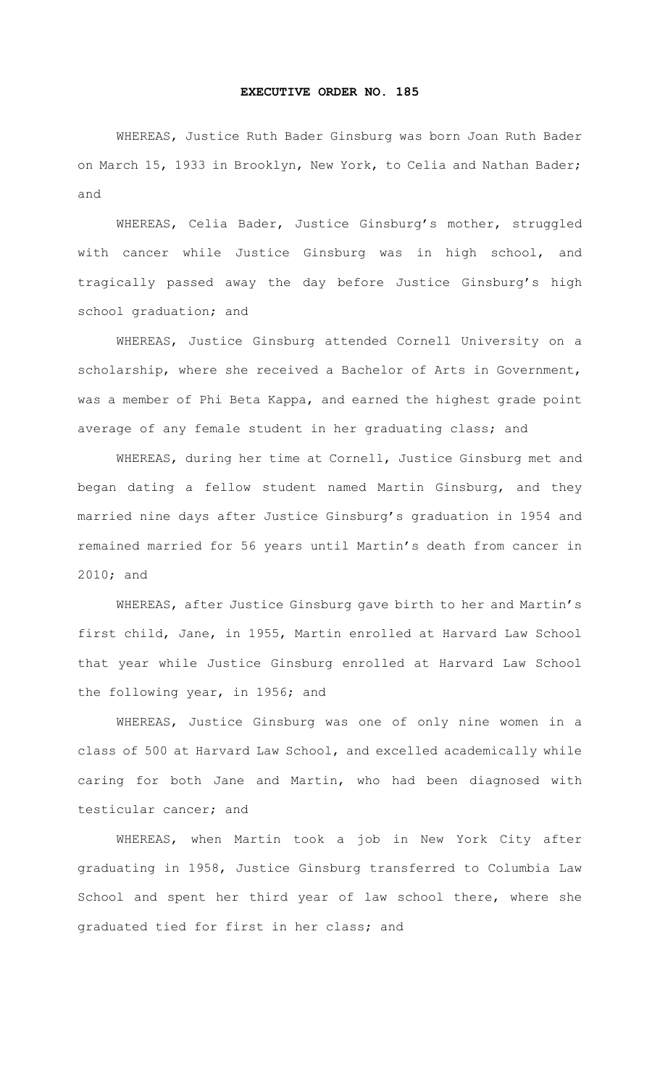## **EXECUTIVE ORDER NO. 185**

WHEREAS, Justice Ruth Bader Ginsburg was born Joan Ruth Bader on March 15, 1933 in Brooklyn, New York, to Celia and Nathan Bader; and

WHEREAS, Celia Bader, Justice Ginsburg's mother, struggled with cancer while Justice Ginsburg was in high school, and tragically passed away the day before Justice Ginsburg's high school graduation; and

 WHEREAS, Justice Ginsburg attended Cornell University on a scholarship, where she received a Bachelor of Arts in Government, was a member of Phi Beta Kappa, and earned the highest grade point average of any female student in her graduating class; and

 WHEREAS, during her time at Cornell, Justice Ginsburg met and began dating a fellow student named Martin Ginsburg, and they married nine days after Justice Ginsburg's graduation in 1954 and remained married for 56 years until Martin's death from cancer in 2010; and

 WHEREAS, after Justice Ginsburg gave birth to her and Martin's first child, Jane, in 1955, Martin enrolled at Harvard Law School that year while Justice Ginsburg enrolled at Harvard Law School the following year, in 1956; and

 WHEREAS, Justice Ginsburg was one of only nine women in a class of 500 at Harvard Law School, and excelled academically while caring for both Jane and Martin, who had been diagnosed with testicular cancer; and

 WHEREAS, when Martin took a job in New York City after graduating in 1958, Justice Ginsburg transferred to Columbia Law School and spent her third year of law school there, where she graduated tied for first in her class; and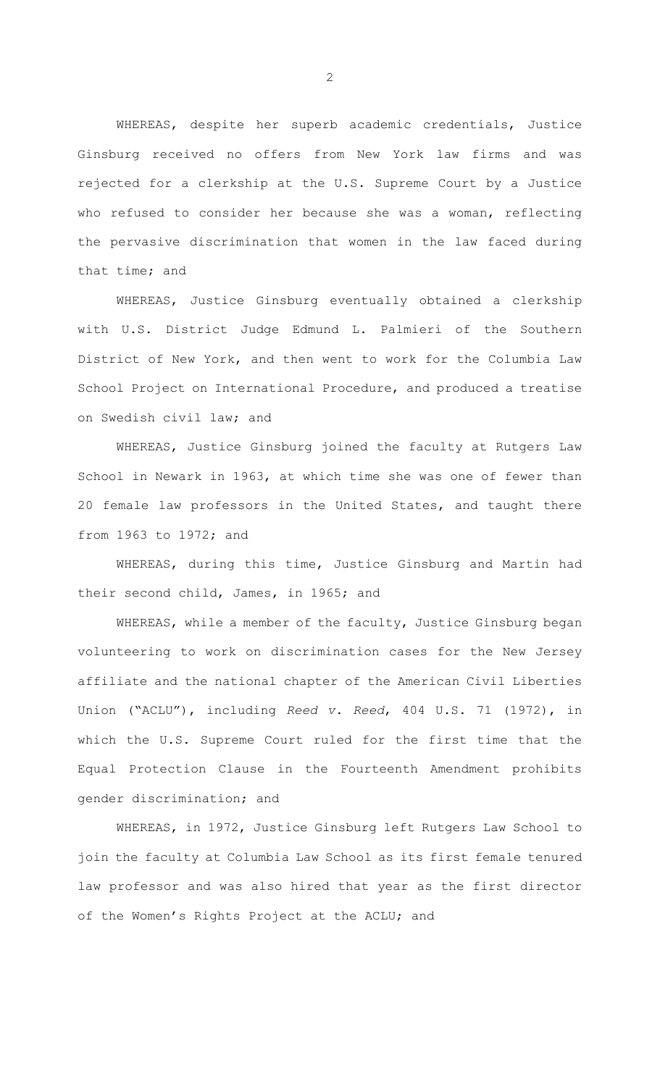WHEREAS, despite her superb academic credentials, Justice Ginsburg received no offers from New York law firms and was rejected for a clerkship at the U.S. Supreme Court by a Justice who refused to consider her because she was a woman, reflecting the pervasive discrimination that women in the law faced during that time; and

 WHEREAS, Justice Ginsburg eventually obtained a clerkship with U.S. District Judge Edmund L. Palmieri of the Southern District of New York, and then went to work for the Columbia Law School Project on International Procedure, and produced a treatise on Swedish civil law; and

 WHEREAS, Justice Ginsburg joined the faculty at Rutgers Law School in Newark in 1963, at which time she was one of fewer than 20 female law professors in the United States, and taught there from 1963 to 1972; and

 WHEREAS, during this time, Justice Ginsburg and Martin had their second child, James, in 1965; and

 WHEREAS, while a member of the faculty, Justice Ginsburg began volunteering to work on discrimination cases for the New Jersey affiliate and the national chapter of the American Civil Liberties Union ("ACLU"), including *Reed v. Reed*, 404 U.S. 71 (1972), in which the U.S. Supreme Court ruled for the first time that the Equal Protection Clause in the Fourteenth Amendment prohibits gender discrimination; and

 WHEREAS, in 1972, Justice Ginsburg left Rutgers Law School to join the faculty at Columbia Law School as its first female tenured law professor and was also hired that year as the first director of the Women's Rights Project at the ACLU; and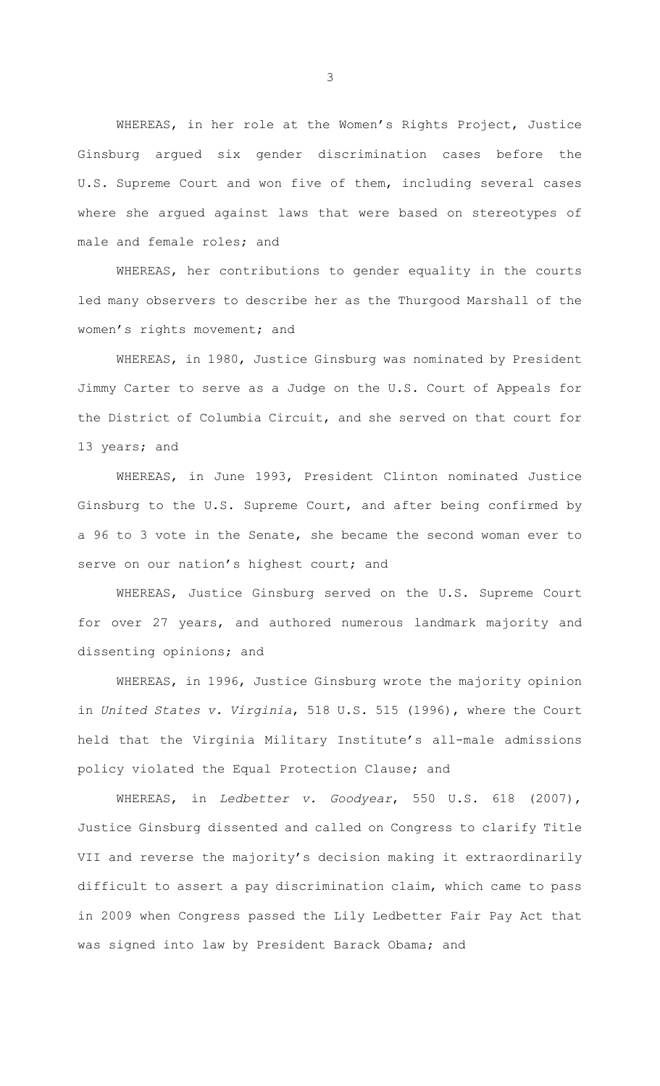WHEREAS, in her role at the Women's Rights Project, Justice Ginsburg argued six gender discrimination cases before the U.S. Supreme Court and won five of them, including several cases where she argued against laws that were based on stereotypes of male and female roles; and

 WHEREAS, her contributions to gender equality in the courts led many observers to describe her as the Thurgood Marshall of the women's rights movement; and

 WHEREAS, in 1980, Justice Ginsburg was nominated by President Jimmy Carter to serve as a Judge on the U.S. Court of Appeals for the District of Columbia Circuit, and she served on that court for 13 years; and

 WHEREAS, in June 1993, President Clinton nominated Justice Ginsburg to the U.S. Supreme Court, and after being confirmed by a 96 to 3 vote in the Senate, she became the second woman ever to serve on our nation's highest court; and

 WHEREAS, Justice Ginsburg served on the U.S. Supreme Court for over 27 years, and authored numerous landmark majority and dissenting opinions; and

 WHEREAS, in 1996, Justice Ginsburg wrote the majority opinion in *United States v. Virginia*, 518 U.S. 515 (1996), where the Court held that the Virginia Military Institute's all-male admissions policy violated the Equal Protection Clause; and

 WHEREAS, in *Ledbetter v. Goodyear*, 550 U.S. 618 (2007), Justice Ginsburg dissented and called on Congress to clarify Title VII and reverse the majority's decision making it extraordinarily difficult to assert a pay discrimination claim, which came to pass in 2009 when Congress passed the Lily Ledbetter Fair Pay Act that was signed into law by President Barack Obama; and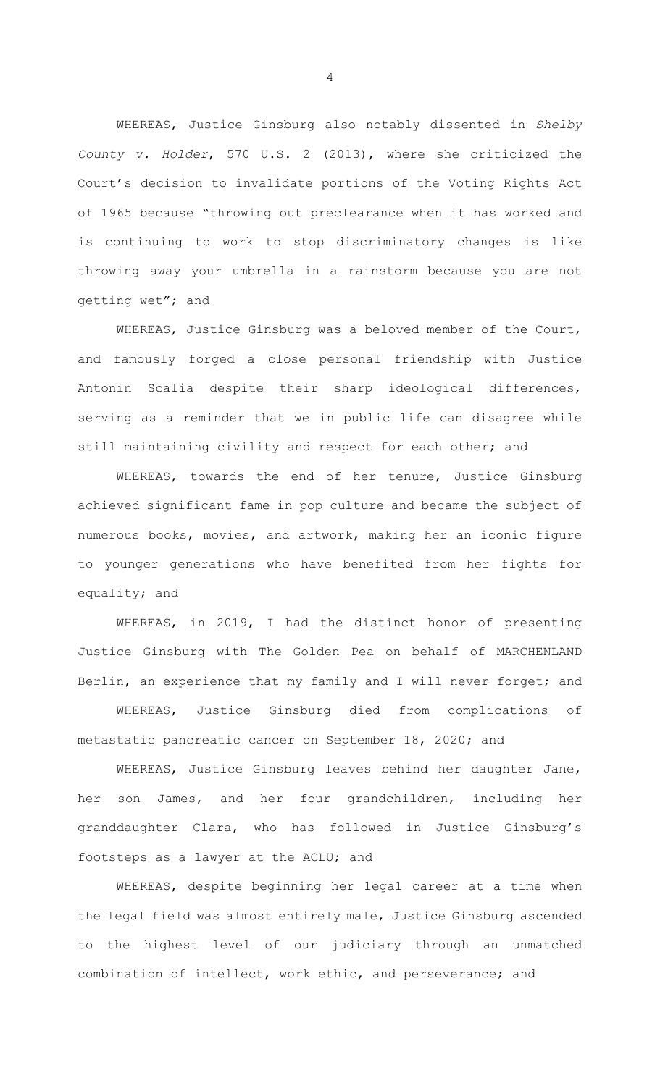WHEREAS, Justice Ginsburg also notably dissented in *Shelby County v. Holder*, 570 U.S. 2 (2013), where she criticized the Court's decision to invalidate portions of the Voting Rights Act of 1965 because "throwing out preclearance when it has worked and is continuing to work to stop discriminatory changes is like throwing away your umbrella in a rainstorm because you are not getting wet"; and

 WHEREAS, Justice Ginsburg was a beloved member of the Court, and famously forged a close personal friendship with Justice Antonin Scalia despite their sharp ideological differences, serving as a reminder that we in public life can disagree while still maintaining civility and respect for each other; and

 WHEREAS, towards the end of her tenure, Justice Ginsburg achieved significant fame in pop culture and became the subject of numerous books, movies, and artwork, making her an iconic figure to younger generations who have benefited from her fights for equality; and

 WHEREAS, in 2019, I had the distinct honor of presenting Justice Ginsburg with The Golden Pea on behalf of MARCHENLAND Berlin, an experience that my family and I will never forget; and

 WHEREAS, Justice Ginsburg died from complications of metastatic pancreatic cancer on September 18, 2020; and

WHEREAS, Justice Ginsburg leaves behind her daughter Jane, her son James, and her four grandchildren, including her granddaughter Clara, who has followed in Justice Ginsburg's footsteps as a lawyer at the ACLU; and

 WHEREAS, despite beginning her legal career at a time when the legal field was almost entirely male, Justice Ginsburg ascended to the highest level of our judiciary through an unmatched combination of intellect, work ethic, and perseverance; and